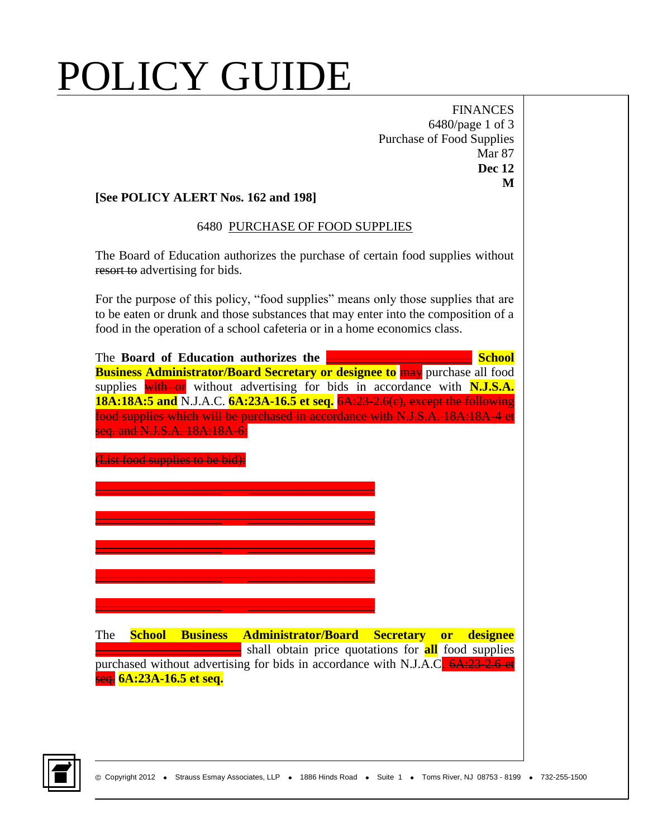# POLICY GUIDE

FINANCES 6480/page 1 of 3 Purchase of Food Supplies Mar 87 **Dec 12 M**

### **[See POLICY ALERT Nos. 162 and 198]**

#### 6480 PURCHASE OF FOOD SUPPLIES

The Board of Education authorizes the purchase of certain food supplies without resort to advertising for bids.

For the purpose of this policy, "food supplies" means only those supplies that are to be eaten or drunk and those substances that may enter into the composition of a food in the operation of a school cafeteria or in a home economics class.



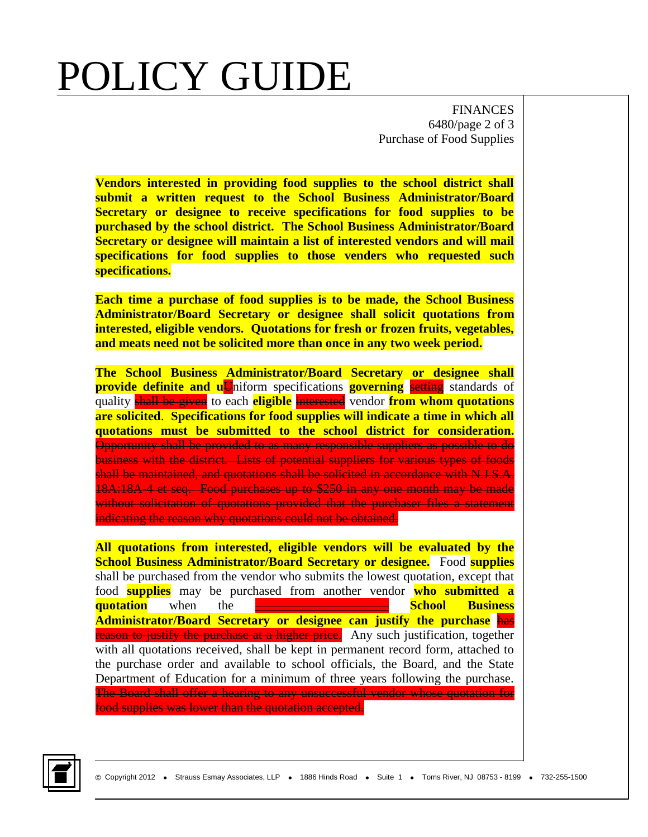## POLICY GUIDE

FINANCES 6480/page 2 of 3 Purchase of Food Supplies

**Vendors interested in providing food supplies to the school district shall submit a written request to the School Business Administrator/Board Secretary or designee to receive specifications for food supplies to be purchased by the school district. The School Business Administrator/Board Secretary or designee will maintain a list of interested vendors and will mail specifications for food supplies to those venders who requested such specifications.**

**Each time a purchase of food supplies is to be made, the School Business Administrator/Board Secretary or designee shall solicit quotations from interested, eligible vendors. Quotations for fresh or frozen fruits, vegetables, and meats need not be solicited more than once in any two week period.**

**The School Business Administrator/Board Secretary or designee shall provide definite and uU**niform specifications **governing** setting standards of quality shall be given to each **eligible** interested vendor **from whom quotations are solicited**. **Specifications for food supplies will indicate a time in which all quotations must be submitted to the school district for consideration.**  Opportunity shall be provided to as many responsible suppliers as possible to do business with the district. Lists of potential suppliers for various types of foods shall be maintained, and quotations shall be solicited in accordance with N.J.S.A. 18A:18A-4 et seq. Food purchases up to \$250 in any one month may be made without solicitation of quotations provided that the purchaser files a statement indicating the reason why quotations could not be obtained.

**All quotations from interested, eligible vendors will be evaluated by the School Business Administrator/Board Secretary or designee.** Food **supplies** shall be purchased from the vendor who submits the lowest quotation, except that food **supplies** may be purchased from another vendor **who submitted a quotation** when the \_\_\_\_\_\_\_\_\_\_\_\_\_\_\_\_\_\_\_\_\_ **School Business Administrator/Board Secretary or designee can justify the purchase** has reason to justify the purchase at a higher price. Any such justification, together with all quotations received, shall be kept in permanent record form, attached to the purchase order and available to school officials, the Board, and the State Department of Education for a minimum of three years following the purchase. The Board shall offer a hearing to any unsuccessful vendor whose quotation for food supplies was lower than the quotation accepted.